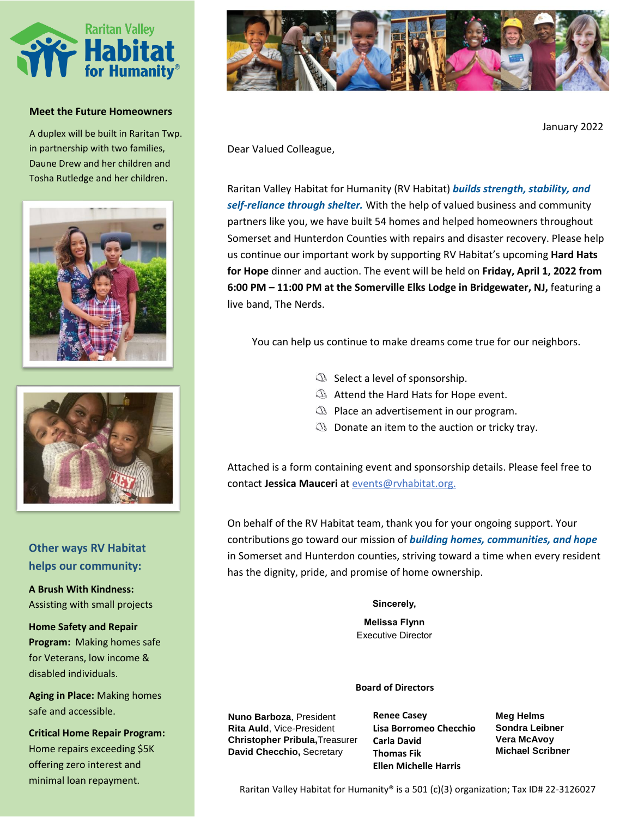

#### **Meet the Future Homeowners**

A duplex will be built in Raritan Twp. in partnership with two families, Daune Drew and her children and Tosha Rutledge and her children.





# **Other ways RV Habitat helps our community:**

**A Brush With Kindness:**  Assisting with small projects

**Home Safety and Repair Program:** Making homes safe for Veterans, low income & disabled individuals.

**Aging in Place:** Making homes safe and accessible.

**Critical Home Repair Program:**  Home repairs exceeding \$5K offering zero interest and minimal loan repayment.



January 2022

Dear Valued Colleague,

Raritan Valley Habitat for Humanity (RV Habitat) *builds strength, stability, and self-reliance through shelter.* With the help of valued business and community partners like you, we have built 54 homes and helped homeowners throughout Somerset and Hunterdon Counties with repairs and disaster recovery. Please help us continue our important work by supporting RV Habitat's upcoming **Hard Hats for Hope** dinner and auction. The event will be held on **Friday, April 1, 2022 from 6:00 PM – 11:00 PM at the Somerville Elks Lodge in Bridgewater, NJ,** featuring a live band, The Nerds.

You can help us continue to make dreams come true for our neighbors.

- $\mathbb Q$  Select a level of sponsorship.
- **Attend the Hard Hats for Hope event.**
- $\circled{1}$  Place an advertisement in our program.
- $\mathbb Q$  Donate an item to the auction or tricky tray.

Attached is a form containing event and sponsorship details. Please feel free to contact **Jessica Mauceri** at event[s@rvhabitat.org.](mailto:bpowelson@rvhabitat.org)

On behalf of the RV Habitat team, thank you for your ongoing support. Your contributions go toward our mission of *building homes, communities, and hope* in Somerset and Hunterdon counties, striving toward a time when every resident has the dignity, pride, and promise of home ownership.

## **Sincerely,**

**Melissa Flynn** Executive Director

### **Board of Directors**

**Nuno Barboza**, President **Rita Auld**, Vice-President **Christopher Pribula,**Treasurer **David Checchio,** Secretary

**Renee Casey Lisa Borromeo Checchio Carla David Thomas Fik Ellen Michelle Harris**

**Meg Helms Sondra Leibner Vera McAvoy Michael Scribner**

Raritan Valley Habitat for Humanity® is a 501 (c)(3) organization; Tax ID# 22-3126027